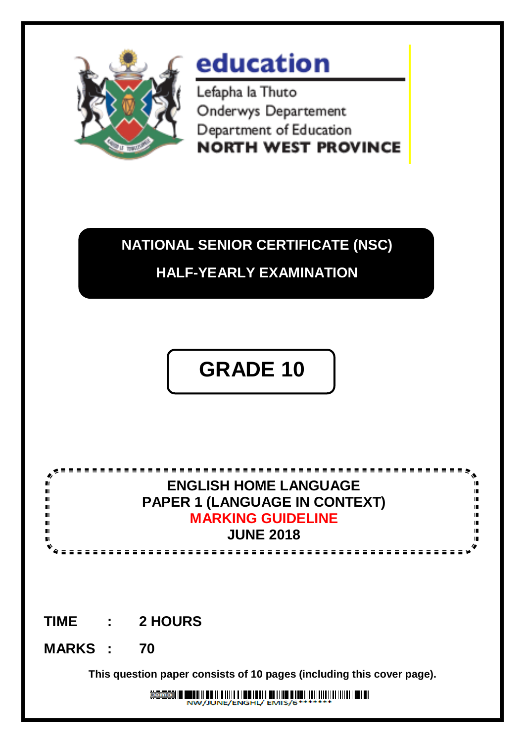

# education

Lefapha la Thuto Onderwys Departement Department of Education **NORTH WEST PROVINCE** 

# **NATIONAL SENIOR CERTIFICATE (NSC) HALF-YEARLY EXAMINATION**

# **GRADE 10 GRADE 11**



## **TIME : 2 HOURS**

### **MARKS : 70**

 $\blacksquare$  $\blacksquare$  $\blacksquare$ 

**This question paper consists of 10 pages (including this cover page).**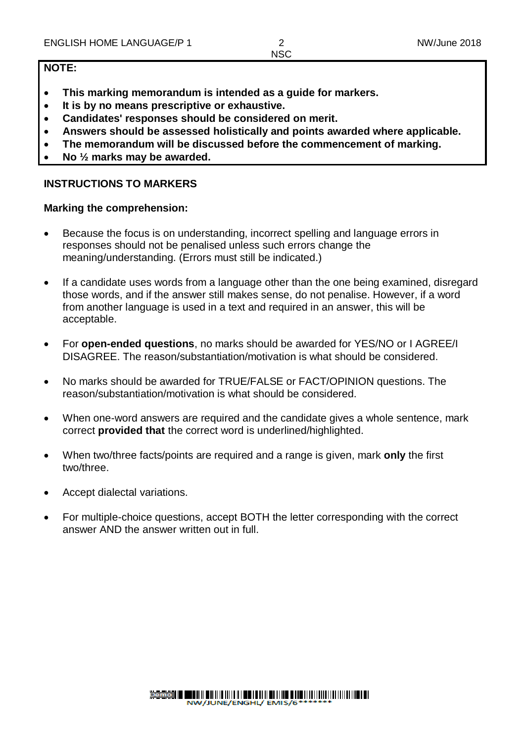#### **NOTE:**

- **This marking memorandum is intended as a guide for markers.**
- **It is by no means prescriptive or exhaustive.**
- **Candidates' responses should be considered on merit.**
- **Answers should be assessed holistically and points awarded where applicable.**
- **The memorandum will be discussed before the commencement of marking.**
- **No ½ marks may be awarded.**

#### **INSTRUCTIONS TO MARKERS**

#### **Marking the comprehension:**

- Because the focus is on understanding, incorrect spelling and language errors in responses should not be penalised unless such errors change the meaning/understanding. (Errors must still be indicated.)
- If a candidate uses words from a language other than the one being examined, disregard those words, and if the answer still makes sense, do not penalise. However, if a word from another language is used in a text and required in an answer, this will be acceptable.
- For **open-ended questions**, no marks should be awarded for YES/NO or I AGREE/I DISAGREE. The reason/substantiation/motivation is what should be considered.
- No marks should be awarded for TRUE/FALSE or FACT/OPINION questions. The reason/substantiation/motivation is what should be considered.
- When one-word answers are required and the candidate gives a whole sentence, mark correct **provided that** the correct word is underlined/highlighted.
- When two/three facts/points are required and a range is given, mark **only** the first two/three.
- Accept dialectal variations.
- For multiple-choice questions, accept BOTH the letter corresponding with the correct answer AND the answer written out in full.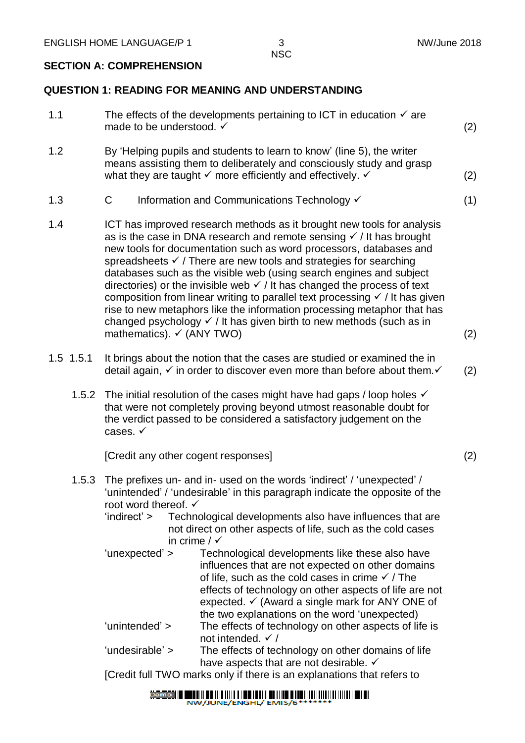#### **SECTION A: COMPREHENSION**

#### **QUESTION 1: READING FOR MEANING AND UNDERSTANDING**

| 1.1         | The effects of the developments pertaining to ICT in education $\checkmark$ are<br>made to be understood. √                                                                                                                                                                                                                                                                                                                                                                                                                                                                                                                                                                                                                                                                    |     |  |
|-------------|--------------------------------------------------------------------------------------------------------------------------------------------------------------------------------------------------------------------------------------------------------------------------------------------------------------------------------------------------------------------------------------------------------------------------------------------------------------------------------------------------------------------------------------------------------------------------------------------------------------------------------------------------------------------------------------------------------------------------------------------------------------------------------|-----|--|
| 1.2         | By 'Helping pupils and students to learn to know' (line 5), the writer<br>means assisting them to deliberately and consciously study and grasp<br>what they are taught $\checkmark$ more efficiently and effectively. $\checkmark$                                                                                                                                                                                                                                                                                                                                                                                                                                                                                                                                             | (2) |  |
| 1.3         | C<br>Information and Communications Technology V                                                                                                                                                                                                                                                                                                                                                                                                                                                                                                                                                                                                                                                                                                                               | (1) |  |
| 1.4         | ICT has improved research methods as it brought new tools for analysis<br>as is the case in DNA research and remote sensing $\checkmark$ / It has brought<br>new tools for documentation such as word processors, databases and<br>spreadsheets $\checkmark$ / There are new tools and strategies for searching<br>databases such as the visible web (using search engines and subject<br>directories) or the invisible web $\checkmark$ / It has changed the process of text<br>composition from linear writing to parallel text processing $\checkmark$ / It has given<br>rise to new metaphors like the information processing metaphor that has<br>changed psychology $\checkmark$ / It has given birth to new methods (such as in<br>mathematics). $\checkmark$ (ANY TWO) | (2) |  |
| $1.5$ 1.5.1 |                                                                                                                                                                                                                                                                                                                                                                                                                                                                                                                                                                                                                                                                                                                                                                                |     |  |
|             | It brings about the notion that the cases are studied or examined the in<br>detail again, $\checkmark$ in order to discover even more than before about them. $\checkmark$                                                                                                                                                                                                                                                                                                                                                                                                                                                                                                                                                                                                     | (2) |  |
| 1.5.2       | The initial resolution of the cases might have had gaps / loop holes $\checkmark$<br>that were not completely proving beyond utmost reasonable doubt for<br>the verdict passed to be considered a satisfactory judgement on the<br>cases. $\checkmark$                                                                                                                                                                                                                                                                                                                                                                                                                                                                                                                         |     |  |
|             | [Credit any other cogent responses]                                                                                                                                                                                                                                                                                                                                                                                                                                                                                                                                                                                                                                                                                                                                            | (2) |  |
| 1.5.3       | The prefixes un- and in- used on the words 'indirect' / 'unexpected' /<br>'unintended' / 'undesirable' in this paragraph indicate the opposite of the<br>root word thereof. $\checkmark$<br>'indirect' ><br>Technological developments also have influences that are<br>not direct on other aspects of life, such as the cold cases<br>in crime / $\checkmark$                                                                                                                                                                                                                                                                                                                                                                                                                 |     |  |
|             | 'unexpected' ><br>Technological developments like these also have<br>influences that are not expected on other domains<br>of life, such as the cold cases in crime $\checkmark$ / The<br>effects of technology on other aspects of life are not<br>expected. $\checkmark$ (Award a single mark for ANY ONE of<br>the two explanations on the word 'unexpected)                                                                                                                                                                                                                                                                                                                                                                                                                 |     |  |
|             | 'unintended' ><br>The effects of technology on other aspects of life is<br>not intended. $\checkmark$ /                                                                                                                                                                                                                                                                                                                                                                                                                                                                                                                                                                                                                                                                        |     |  |
|             | 'undesirable' ><br>The effects of technology on other domains of life<br>have aspects that are not desirable. ✓                                                                                                                                                                                                                                                                                                                                                                                                                                                                                                                                                                                                                                                                |     |  |

[Credit full TWO marks only if there is an explanations that refers to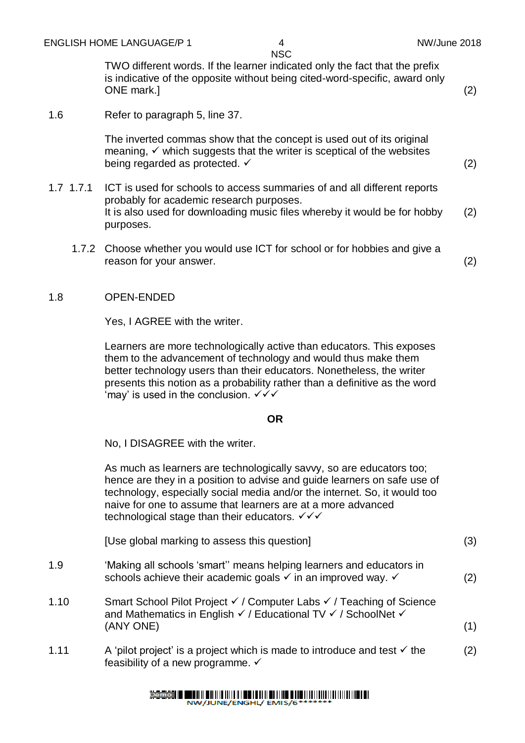TWO different words. If the learner indicated only the fact that the prefix is indicative of the opposite without being cited-word-specific, award only ONE mark.] (2)

#### 1.6 Refer to paragraph 5, line 37.

The inverted commas show that the concept is used out of its original meaning,  $\checkmark$  which suggests that the writer is sceptical of the websites being regarded as protected.  $\checkmark$  (2)

- 1.7 1.7.1 ICT is used for schools to access summaries of and all different reports probably for academic research purposes. It is also used for downloading music files whereby it would be for hobby purposes. (2)
	- 1.7.2 Choose whether you would use ICT for school or for hobbies and give a reason for your answer. (2)

#### 1.8 OPEN-ENDED

Yes, I AGREE with the writer.

Learners are more technologically active than educators. This exposes them to the advancement of technology and would thus make them better technology users than their educators. Nonetheless, the writer presents this notion as a probability rather than a definitive as the word 'may' is used in the conclusion.  $\checkmark\checkmark$ 

#### **OR**

No, I DISAGREE with the writer.

As much as learners are technologically savvy, so are educators too; hence are they in a position to advise and guide learners on safe use of technology, especially social media and/or the internet. So, it would too naive for one to assume that learners are at a more advanced technological stage than their educators.  $\sqrt{\checkmark}$ 

| [Use global marking to assess this question] |  |
|----------------------------------------------|--|
|                                              |  |

- 1.9 'Making all schools 'smart'' means helping learners and educators in schools achieve their academic goals  $\checkmark$  in an improved way.  $\checkmark$  (2)
- 1.10 Smart School Pilot Project / Computer Labs / Teaching of Science and Mathematics in English  $\checkmark$  / Educational TV  $\checkmark$  / SchoolNet  $\checkmark$  $(ANY ONE)$  (1)
- 1.11 A 'pilot project' is a project which is made to introduce and test  $\checkmark$  the feasibility of a new programme.  $\checkmark$ (2)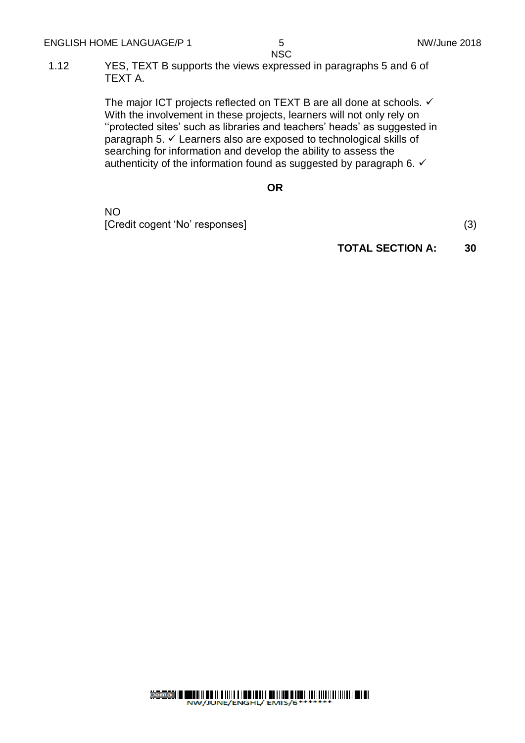1.12 YES, TEXT B supports the views expressed in paragraphs 5 and 6 of TEXT A.

> The major ICT projects reflected on TEXT B are all done at schools.  $\checkmark$ With the involvement in these projects, learners will not only rely on ''protected sites' such as libraries and teachers' heads' as suggested in paragraph 5.  $\checkmark$  Learners also are exposed to technological skills of searching for information and develop the ability to assess the authenticity of the information found as suggested by paragraph 6.  $\checkmark$

#### **OR**

NO [Credit cogent 'No' responses] (3)

**TOTAL SECTION A: 30**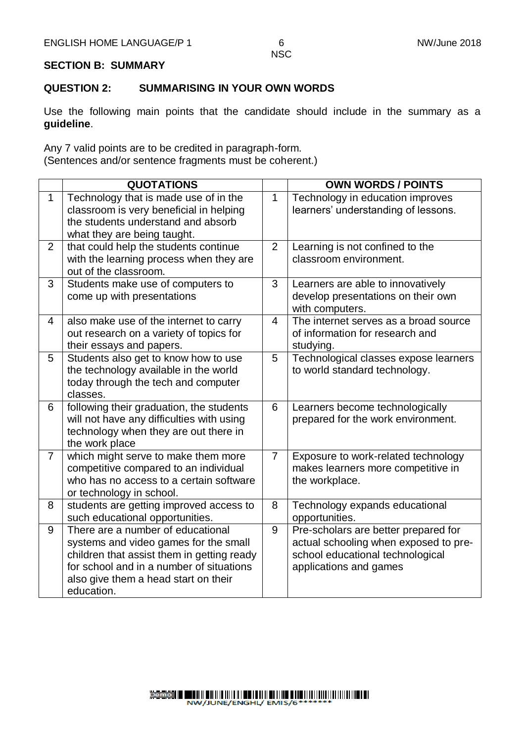#### **SECTION B: SUMMARY**

#### **QUESTION 2: SUMMARISING IN YOUR OWN WORDS**

Use the following main points that the candidate should include in the summary as a **guideline**.

Any 7 valid points are to be credited in paragraph-form. (Sentences and/or sentence fragments must be coherent.)

|                | <b>QUOTATIONS</b>                                                                                                                                                                                                          |                | <b>OWN WORDS / POINTS</b>                                                                                                                   |
|----------------|----------------------------------------------------------------------------------------------------------------------------------------------------------------------------------------------------------------------------|----------------|---------------------------------------------------------------------------------------------------------------------------------------------|
| $\mathbf{1}$   | Technology that is made use of in the<br>classroom is very beneficial in helping<br>the students understand and absorb<br>what they are being taught.                                                                      | $\mathbf{1}$   | Technology in education improves<br>learners' understanding of lessons.                                                                     |
| $\overline{2}$ | that could help the students continue<br>with the learning process when they are<br>out of the classroom.                                                                                                                  | 2              | Learning is not confined to the<br>classroom environment.                                                                                   |
| 3              | Students make use of computers to<br>come up with presentations                                                                                                                                                            | 3              | Learners are able to innovatively<br>develop presentations on their own<br>with computers.                                                  |
| $\overline{4}$ | also make use of the internet to carry<br>out research on a variety of topics for<br>their essays and papers.                                                                                                              | 4              | The internet serves as a broad source<br>of information for research and<br>studying.                                                       |
| 5              | Students also get to know how to use<br>the technology available in the world<br>today through the tech and computer<br>classes.                                                                                           | 5              | Technological classes expose learners<br>to world standard technology.                                                                      |
| 6              | following their graduation, the students<br>will not have any difficulties with using<br>technology when they are out there in<br>the work place                                                                           | 6              | Learners become technologically<br>prepared for the work environment.                                                                       |
| $\overline{7}$ | which might serve to make them more<br>competitive compared to an individual<br>who has no access to a certain software<br>or technology in school.                                                                        | $\overline{7}$ | Exposure to work-related technology<br>makes learners more competitive in<br>the workplace.                                                 |
| 8              | students are getting improved access to<br>such educational opportunities.                                                                                                                                                 | 8              | Technology expands educational<br>opportunities.                                                                                            |
| 9              | There are a number of educational<br>systems and video games for the small<br>children that assist them in getting ready<br>for school and in a number of situations<br>also give them a head start on their<br>education. | 9              | Pre-scholars are better prepared for<br>actual schooling when exposed to pre-<br>school educational technological<br>applications and games |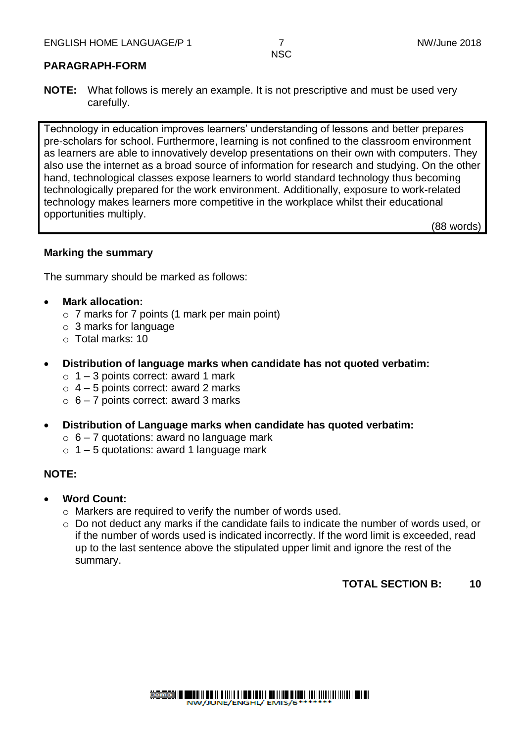#### **PARAGRAPH-FORM**

**NOTE:** What follows is merely an example. It is not prescriptive and must be used very carefully.

Technology in education improves learners' understanding of lessons and better prepares pre-scholars for school. Furthermore, learning is not confined to the classroom environment as learners are able to innovatively develop presentations on their own with computers. They also use the internet as a broad source of information for research and studying. On the other hand, technological classes expose learners to world standard technology thus becoming technologically prepared for the work environment. Additionally, exposure to work-related technology makes learners more competitive in the workplace whilst their educational opportunities multiply.

(88 words)

#### **Marking the summary**

The summary should be marked as follows:

#### **Mark allocation:**

- o 7 marks for 7 points (1 mark per main point)
- o 3 marks for language
- o Total marks: 10
- **Distribution of language marks when candidate has not quoted verbatim:** 
	- $\circ$  1 3 points correct: award 1 mark
	- $\circ$  4 5 points correct: award 2 marks
	- $\circ$  6 7 points correct: award 3 marks
- **Distribution of Language marks when candidate has quoted verbatim:** 
	- $\circ$  6 7 quotations: award no language mark
	- $\circ$  1 5 quotations: award 1 language mark

#### **NOTE:**

- **Word Count:** 
	- o Markers are required to verify the number of words used.
	- o Do not deduct any marks if the candidate fails to indicate the number of words used, or if the number of words used is indicated incorrectly. If the word limit is exceeded, read up to the last sentence above the stipulated upper limit and ignore the rest of the summary.

#### **TOTAL SECTION B: 10**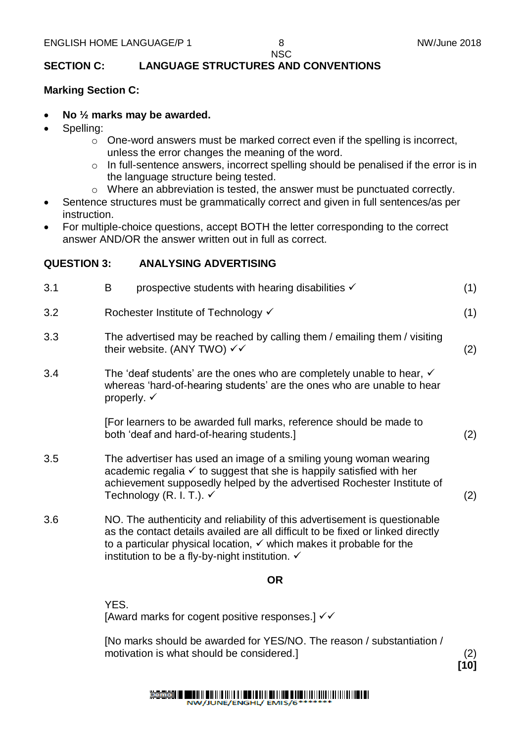**[10]**

### **NSC**

#### **SECTION C: LANGUAGE STRUCTURES AND CONVENTIONS**

#### **Marking Section C:**

- **No ½ marks may be awarded.**
- Spelling:
	- o One-word answers must be marked correct even if the spelling is incorrect, unless the error changes the meaning of the word.
	- o In full-sentence answers, incorrect spelling should be penalised if the error is in the language structure being tested.
	- o Where an abbreviation is tested, the answer must be punctuated correctly.
- Sentence structures must be grammatically correct and given in full sentences/as per instruction.
- For multiple-choice questions, accept BOTH the letter corresponding to the correct answer AND/OR the answer written out in full as correct.

#### **QUESTION 3: ANALYSING ADVERTISING**

| 3.1 | prospective students with hearing disabilities $\checkmark$<br>B                                                                                                                                                                                                      | (1) |
|-----|-----------------------------------------------------------------------------------------------------------------------------------------------------------------------------------------------------------------------------------------------------------------------|-----|
| 3.2 | Rochester Institute of Technology √                                                                                                                                                                                                                                   | (1) |
| 3.3 | The advertised may be reached by calling them / emailing them / visiting<br>their website. (ANY TWO) $\checkmark$                                                                                                                                                     | (2) |
| 3.4 | The 'deaf students' are the ones who are completely unable to hear, $\checkmark$<br>whereas 'hard-of-hearing students' are the ones who are unable to hear<br>properly. $\checkmark$                                                                                  |     |
|     | [For learners to be awarded full marks, reference should be made to<br>both 'deaf and hard-of-hearing students.]                                                                                                                                                      | (2) |
| 3.5 | The advertiser has used an image of a smiling young woman wearing<br>academic regalia $\checkmark$ to suggest that she is happily satisfied with her<br>achievement supposedly helped by the advertised Rochester Institute of<br>Technology (R. I. T.). $\checkmark$ | (2) |
| 3.6 | NO. The authenticity and reliability of this advertisement is questionable<br>as the contact details availed are all difficult to be fixed or linked directly<br>to a particular physical location, $\checkmark$ which makes it probable for the                      |     |

#### **OR**

YES. [Award marks for cogent positive responses.]  $\checkmark\checkmark$ 

institution to be a fly-by-night institution.  $\checkmark$ 

[No marks should be awarded for YES/NO. The reason / substantiation / motivation is what should be considered.] (2)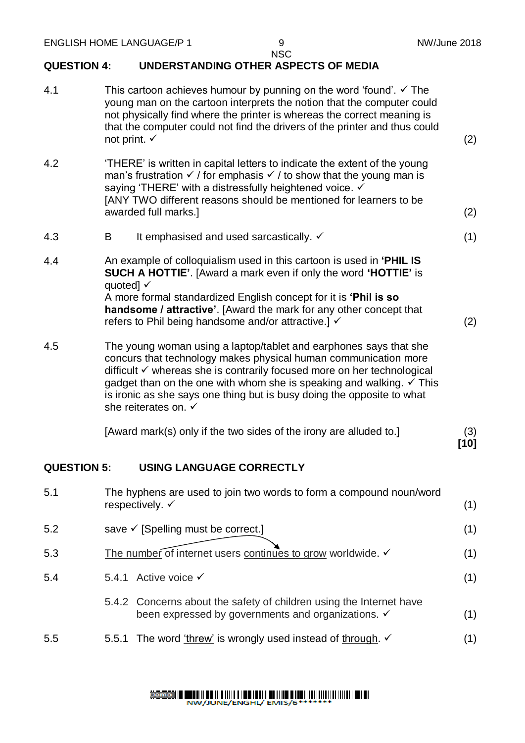#### **QUESTION 4: UNDERSTANDING OTHER ASPECTS OF MEDIA**

| 4.1                | This cartoon achieves humour by punning on the word 'found'. $\checkmark$ The<br>young man on the cartoon interprets the notion that the computer could<br>not physically find where the printer is whereas the correct meaning is<br>that the computer could not find the drivers of the printer and thus could<br>not print. $\checkmark$ |                                                                                                                                                                                                                                                                                                                                                                                                                 |               |  |  |
|--------------------|---------------------------------------------------------------------------------------------------------------------------------------------------------------------------------------------------------------------------------------------------------------------------------------------------------------------------------------------|-----------------------------------------------------------------------------------------------------------------------------------------------------------------------------------------------------------------------------------------------------------------------------------------------------------------------------------------------------------------------------------------------------------------|---------------|--|--|
| 4.2                | 'THERE' is written in capital letters to indicate the extent of the young<br>man's frustration $\checkmark$ / for emphasis $\checkmark$ / to show that the young man is<br>saying 'THERE' with a distressfully heightened voice. √<br>[ANY TWO different reasons should be mentioned for learners to be<br>awarded full marks.]             |                                                                                                                                                                                                                                                                                                                                                                                                                 |               |  |  |
| 4.3                | B                                                                                                                                                                                                                                                                                                                                           | It emphasised and used sarcastically. ✓                                                                                                                                                                                                                                                                                                                                                                         | (1)           |  |  |
| 4.4                | quoted] $\checkmark$                                                                                                                                                                                                                                                                                                                        | An example of colloquialism used in this cartoon is used in 'PHIL IS<br>SUCH A HOTTIE'. [Award a mark even if only the word 'HOTTIE' is                                                                                                                                                                                                                                                                         |               |  |  |
|                    |                                                                                                                                                                                                                                                                                                                                             | A more formal standardized English concept for it is 'Phil is so<br>handsome / attractive'. [Award the mark for any other concept that<br>refers to Phil being handsome and/or attractive.] √                                                                                                                                                                                                                   | (2)           |  |  |
| 4.5                |                                                                                                                                                                                                                                                                                                                                             | The young woman using a laptop/tablet and earphones says that she<br>concurs that technology makes physical human communication more<br>difficult <del>V</del> whereas she is contrarily focused more on her technological<br>gadget than on the one with whom she is speaking and walking. $\checkmark$ This<br>is ironic as she says one thing but is busy doing the opposite to what<br>she reiterates on. ✓ |               |  |  |
|                    |                                                                                                                                                                                                                                                                                                                                             | [Award mark(s) only if the two sides of the irony are alluded to.]                                                                                                                                                                                                                                                                                                                                              | (3)<br>$[10]$ |  |  |
| <b>QUESTION 5:</b> |                                                                                                                                                                                                                                                                                                                                             | <b>USING LANGUAGE CORRECTLY</b>                                                                                                                                                                                                                                                                                                                                                                                 |               |  |  |
| 5.1                |                                                                                                                                                                                                                                                                                                                                             | The hyphens are used to join two words to form a compound noun/word<br>respectively. $\checkmark$                                                                                                                                                                                                                                                                                                               | (1)           |  |  |
| 5.2                |                                                                                                                                                                                                                                                                                                                                             | save √ [Spelling must be correct.]                                                                                                                                                                                                                                                                                                                                                                              | (1)           |  |  |
| 5.3                |                                                                                                                                                                                                                                                                                                                                             | The number of internet users continues to grow worldwide.                                                                                                                                                                                                                                                                                                                                                       | (1)           |  |  |
| 5.4                |                                                                                                                                                                                                                                                                                                                                             | 5.4.1 Active voice $\checkmark$                                                                                                                                                                                                                                                                                                                                                                                 | (1)           |  |  |
|                    |                                                                                                                                                                                                                                                                                                                                             | 5.4.2 Concerns about the safety of children using the Internet have<br>been expressed by governments and organizations. ✓                                                                                                                                                                                                                                                                                       | (1)           |  |  |
| 5.5                | 5.5.1                                                                                                                                                                                                                                                                                                                                       | The word 'threw' is wrongly used instead of through. $\checkmark$                                                                                                                                                                                                                                                                                                                                               | (1)           |  |  |